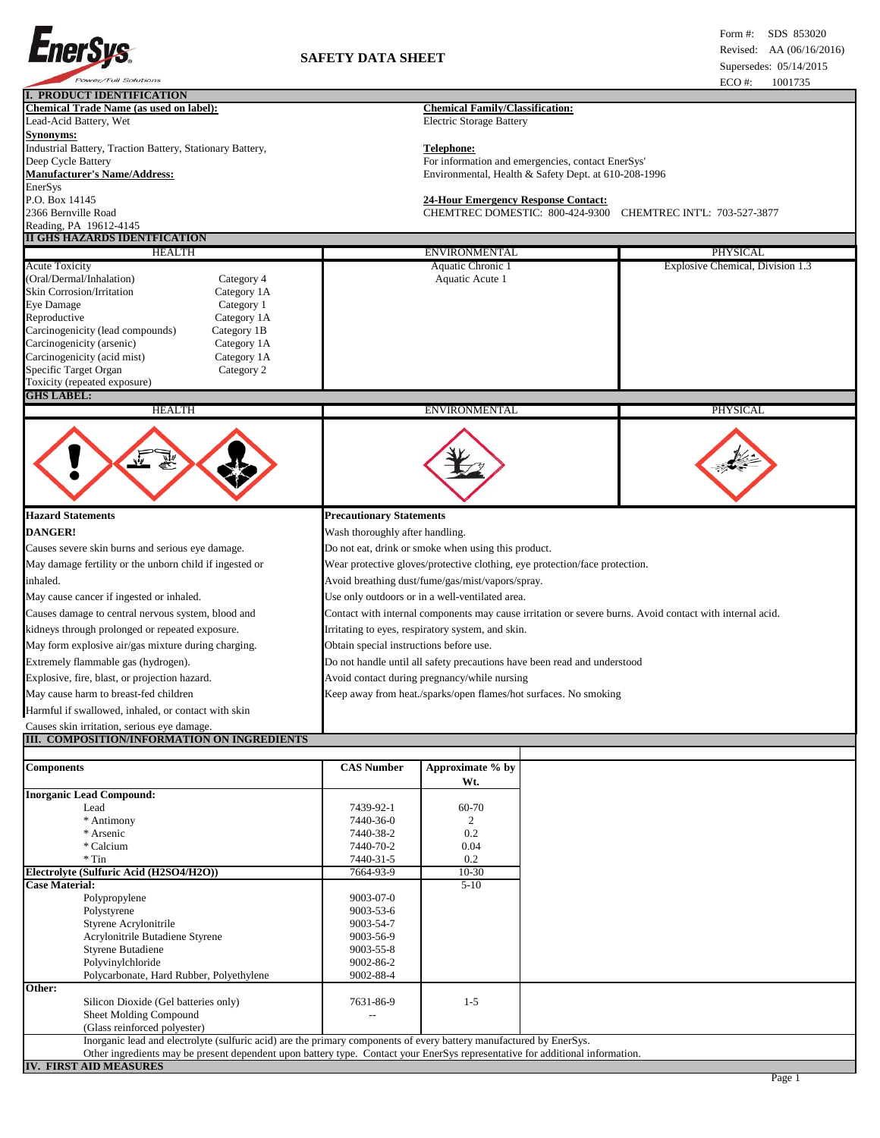

| I. PRODUCT IDENTIFICATION                                                                                                     |                                                                                                          |                                                                             |                                                      |                                  |  |
|-------------------------------------------------------------------------------------------------------------------------------|----------------------------------------------------------------------------------------------------------|-----------------------------------------------------------------------------|------------------------------------------------------|----------------------------------|--|
| <b>Chemical Trade Name (as used on label):</b><br>Lead-Acid Battery, Wet                                                      | <b>Chemical Family/Classification:</b>                                                                   |                                                                             |                                                      |                                  |  |
| <b>Synonyms:</b>                                                                                                              |                                                                                                          | <b>Electric Storage Battery</b>                                             |                                                      |                                  |  |
| Industrial Battery, Traction Battery, Stationary Battery,                                                                     |                                                                                                          | <b>Telephone:</b>                                                           |                                                      |                                  |  |
| Deep Cycle Battery                                                                                                            |                                                                                                          |                                                                             | For information and emergencies, contact EnerSys'    |                                  |  |
| <b>Manufacturer's Name/Address:</b>                                                                                           |                                                                                                          |                                                                             | Environmental, Health & Safety Dept. at 610-208-1996 |                                  |  |
| EnerSys                                                                                                                       |                                                                                                          |                                                                             |                                                      |                                  |  |
| P.O. Box 14145                                                                                                                |                                                                                                          | <b>24-Hour Emergency Response Contact:</b>                                  |                                                      |                                  |  |
| 2366 Bernville Road<br>Reading, PA 19612-4145                                                                                 |                                                                                                          | CHEMTREC DOMESTIC: 800-424-9300<br><b>CHEMTREC INTL: 703-527-3877</b>       |                                                      |                                  |  |
| <b>II GHS HAZARDS IDENTFICATION</b>                                                                                           |                                                                                                          |                                                                             |                                                      |                                  |  |
| <b>HEALTH</b>                                                                                                                 |                                                                                                          | ENVIRONMENTAL                                                               |                                                      | PHYSICAL                         |  |
| <b>Acute Toxicity</b>                                                                                                         |                                                                                                          | Aquatic Chronic 1                                                           |                                                      | Explosive Chemical, Division 1.3 |  |
| (Oral/Dermal/Inhalation)<br>Category 4                                                                                        |                                                                                                          | Aquatic Acute 1                                                             |                                                      |                                  |  |
| Skin Corrosion/Irritation<br>Category 1A                                                                                      |                                                                                                          |                                                                             |                                                      |                                  |  |
| Eye Damage<br>Category 1                                                                                                      |                                                                                                          |                                                                             |                                                      |                                  |  |
| Reproductive<br>Category 1A<br>Carcinogenicity (lead compounds)<br>Category 1B                                                |                                                                                                          |                                                                             |                                                      |                                  |  |
| Carcinogenicity (arsenic)<br>Category 1A                                                                                      |                                                                                                          |                                                                             |                                                      |                                  |  |
| Carcinogenicity (acid mist)<br>Category 1A                                                                                    |                                                                                                          |                                                                             |                                                      |                                  |  |
| Specific Target Organ<br>Category 2                                                                                           |                                                                                                          |                                                                             |                                                      |                                  |  |
| Toxicity (repeated exposure)                                                                                                  |                                                                                                          |                                                                             |                                                      |                                  |  |
| <b>GHS LABEL:</b>                                                                                                             |                                                                                                          |                                                                             |                                                      |                                  |  |
| <b>HEALTH</b>                                                                                                                 |                                                                                                          | ENVIRONMENTAL                                                               |                                                      | PHYSICAL                         |  |
|                                                                                                                               |                                                                                                          |                                                                             |                                                      |                                  |  |
| <b>Hazard Statements</b>                                                                                                      | <b>Precautionary Statements</b>                                                                          |                                                                             |                                                      |                                  |  |
| <b>DANGER!</b>                                                                                                                | Wash thoroughly after handling.                                                                          |                                                                             |                                                      |                                  |  |
| Causes severe skin burns and serious eye damage.                                                                              |                                                                                                          | Do not eat, drink or smoke when using this product.                         |                                                      |                                  |  |
| May damage fertility or the unborn child if ingested or                                                                       |                                                                                                          | Wear protective gloves/protective clothing, eye protection/face protection. |                                                      |                                  |  |
| inhaled.                                                                                                                      |                                                                                                          | Avoid breathing dust/fume/gas/mist/vapors/spray.                            |                                                      |                                  |  |
| May cause cancer if ingested or inhaled.                                                                                      |                                                                                                          | Use only outdoors or in a well-ventilated area.                             |                                                      |                                  |  |
| Causes damage to central nervous system, blood and                                                                            |                                                                                                          |                                                                             |                                                      |                                  |  |
|                                                                                                                               | Contact with internal components may cause irritation or severe burns. Avoid contact with internal acid. |                                                                             |                                                      |                                  |  |
| kidneys through prolonged or repeated exposure.                                                                               | Irritating to eyes, respiratory system, and skin.                                                        |                                                                             |                                                      |                                  |  |
| May form explosive air/gas mixture during charging.                                                                           | Obtain special instructions before use.                                                                  |                                                                             |                                                      |                                  |  |
| Extremely flammable gas (hydrogen).                                                                                           | Do not handle until all safety precautions have been read and understood                                 |                                                                             |                                                      |                                  |  |
| Explosive, fire, blast, or projection hazard.                                                                                 | Avoid contact during pregnancy/while nursing                                                             |                                                                             |                                                      |                                  |  |
| May cause harm to breast-fed children                                                                                         |                                                                                                          | Keep away from heat./sparks/open flames/hot surfaces. No smoking            |                                                      |                                  |  |
| Harmful if swallowed, inhaled, or contact with skin                                                                           |                                                                                                          |                                                                             |                                                      |                                  |  |
| Causes skin irritation, serious eye damage.                                                                                   |                                                                                                          |                                                                             |                                                      |                                  |  |
| III.  COMPOSITION/INFORMATION ON INGREDIENTS                                                                                  |                                                                                                          |                                                                             |                                                      |                                  |  |
| <b>Components</b>                                                                                                             | <b>CAS Number</b>                                                                                        | Approximate % by<br>Wt.                                                     |                                                      |                                  |  |
| <b>Inorganic Lead Compound:</b>                                                                                               |                                                                                                          |                                                                             |                                                      |                                  |  |
| Lead                                                                                                                          | 7439-92-1                                                                                                | 60-70                                                                       |                                                      |                                  |  |
| * Antimony                                                                                                                    | 7440-36-0                                                                                                | 2                                                                           |                                                      |                                  |  |
| * Arsenic<br>* Calcium                                                                                                        | 7440-38-2<br>7440-70-2                                                                                   | 0.2<br>0.04                                                                 |                                                      |                                  |  |
| $*$ Tin                                                                                                                       | 7440-31-5                                                                                                | 0.2                                                                         |                                                      |                                  |  |
| Electrolyte (Sulfuric Acid (H2SO4/H2O))                                                                                       | 7664-93-9                                                                                                | $10 - 30$                                                                   |                                                      |                                  |  |
| <b>Case Material:</b>                                                                                                         |                                                                                                          | $5-10$                                                                      |                                                      |                                  |  |
| Polypropylene                                                                                                                 | 9003-07-0                                                                                                |                                                                             |                                                      |                                  |  |
| Polystyrene<br>Styrene Acrylonitrile                                                                                          | 9003-53-6<br>9003-54-7                                                                                   |                                                                             |                                                      |                                  |  |
| Acrylonitrile Butadiene Styrene                                                                                               | 9003-56-9                                                                                                |                                                                             |                                                      |                                  |  |
| <b>Styrene Butadiene</b>                                                                                                      | 9003-55-8                                                                                                |                                                                             |                                                      |                                  |  |
| Polyvinylchloride                                                                                                             | 9002-86-2                                                                                                |                                                                             |                                                      |                                  |  |
| Polycarbonate, Hard Rubber, Polyethylene                                                                                      | 9002-88-4                                                                                                |                                                                             |                                                      |                                  |  |
| Other:                                                                                                                        |                                                                                                          |                                                                             |                                                      |                                  |  |
| Silicon Dioxide (Gel batteries only)<br>Sheet Molding Compound                                                                | 7631-86-9                                                                                                | $1 - 5$                                                                     |                                                      |                                  |  |
| (Glass reinforced polyester)                                                                                                  |                                                                                                          |                                                                             |                                                      |                                  |  |
| Inorganic lead and electrolyte (sulfuric acid) are the primary components of every battery manufactured by EnerSys.           |                                                                                                          |                                                                             |                                                      |                                  |  |
| Other ingredients may be present dependent upon battery type. Contact your EnerSys representative for additional information. |                                                                                                          |                                                                             |                                                      |                                  |  |
| <b>IV. FIRST AID MEASURES</b>                                                                                                 |                                                                                                          |                                                                             |                                                      |                                  |  |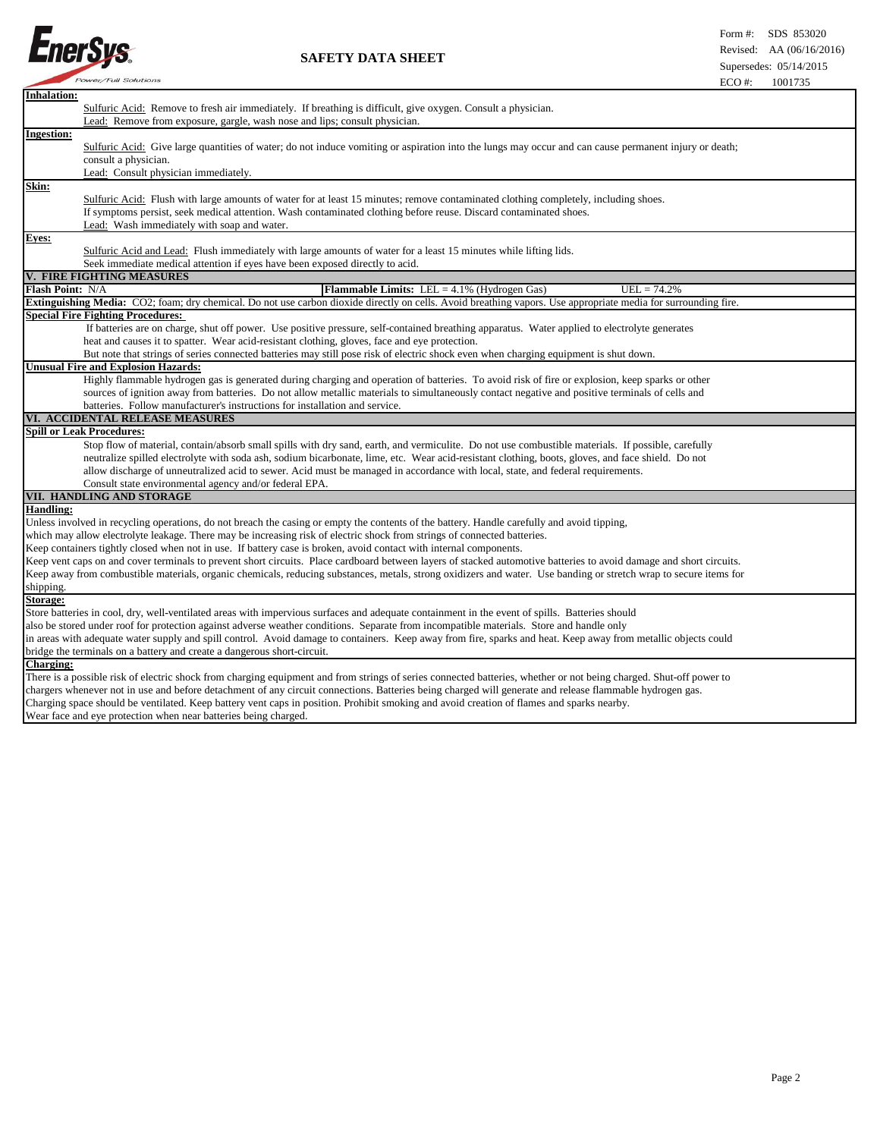

## Revised: AA (06/16/2016) **SAFETY DATA SHEET**

| <b>Inhalation:</b><br>Sulfuric Acid: Remove to fresh air immediately. If breathing is difficult, give oxygen. Consult a physician.                                  |  |
|---------------------------------------------------------------------------------------------------------------------------------------------------------------------|--|
| Lead: Remove from exposure, gargle, wash nose and lips; consult physician.                                                                                          |  |
| <b>Ingestion:</b>                                                                                                                                                   |  |
| Sulfuric Acid: Give large quantities of water; do not induce vomiting or aspiration into the lungs may occur and can cause permanent injury or death;               |  |
| consult a physician.                                                                                                                                                |  |
| Lead: Consult physician immediately.                                                                                                                                |  |
| Skin:                                                                                                                                                               |  |
| Sulfuric Acid: Flush with large amounts of water for at least 15 minutes; remove contaminated clothing completely, including shoes.                                 |  |
| If symptoms persist, seek medical attention. Wash contaminated clothing before reuse. Discard contaminated shoes.                                                   |  |
| Lead: Wash immediately with soap and water.                                                                                                                         |  |
| Eyes:                                                                                                                                                               |  |
| Sulfuric Acid and Lead: Flush immediately with large amounts of water for a least 15 minutes while lifting lids.                                                    |  |
| Seek immediate medical attention if eyes have been exposed directly to acid.                                                                                        |  |
| V. FIRE FIGHTING MEASURES                                                                                                                                           |  |
| Flash Point: N/A<br><b>Flammable Limits:</b> LEL = $4.1\%$ (Hydrogen Gas)<br>$UEL = 74.2%$                                                                          |  |
| Extinguishing Media: CO2; foam; dry chemical. Do not use carbon dioxide directly on cells. Avoid breathing vapors. Use appropriate media for surrounding fire.      |  |
| <b>Special Fire Fighting Procedures:</b>                                                                                                                            |  |
| If batteries are on charge, shut off power. Use positive pressure, self-contained breathing apparatus. Water applied to electrolyte generates                       |  |
| heat and causes it to spatter. Wear acid-resistant clothing, gloves, face and eye protection.                                                                       |  |
| But note that strings of series connected batteries may still pose risk of electric shock even when charging equipment is shut down.                                |  |
| <b>Unusual Fire and Explosion Hazards:</b>                                                                                                                          |  |
| Highly flammable hydrogen gas is generated during charging and operation of batteries. To avoid risk of fire or explosion, keep sparks or other                     |  |
| sources of ignition away from batteries. Do not allow metallic materials to simultaneously contact negative and positive terminals of cells and                     |  |
| batteries. Follow manufacturer's instructions for installation and service.                                                                                         |  |
| VI. ACCIDENTAL RELEASE MEASURES                                                                                                                                     |  |
| <b>Spill or Leak Procedures:</b>                                                                                                                                    |  |
| Stop flow of material, contain/absorb small spills with dry sand, earth, and vermiculite. Do not use combustible materials. If possible, carefully                  |  |
| neutralize spilled electrolyte with soda ash, sodium bicarbonate, lime, etc. Wear acid-resistant clothing, boots, gloves, and face shield. Do not                   |  |
| allow discharge of unneutralized acid to sewer. Acid must be managed in accordance with local, state, and federal requirements.                                     |  |
| Consult state environmental agency and/or federal EPA.                                                                                                              |  |
| VII. HANDLING AND STORAGE                                                                                                                                           |  |
| <b>Handling:</b>                                                                                                                                                    |  |
| Unless involved in recycling operations, do not breach the casing or empty the contents of the battery. Handle carefully and avoid tipping,                         |  |
| which may allow electrolyte leakage. There may be increasing risk of electric shock from strings of connected batteries.                                            |  |
| Keep containers tightly closed when not in use. If battery case is broken, avoid contact with internal components.                                                  |  |
| Keep vent caps on and cover terminals to prevent short circuits. Place cardboard between layers of stacked automotive batteries to avoid damage and short circuits. |  |
| Keep away from combustible materials, organic chemicals, reducing substances, metals, strong oxidizers and water. Use banding or stretch wrap to secure items for   |  |
| shipping.                                                                                                                                                           |  |
| Storage:                                                                                                                                                            |  |
| Store batteries in cool, dry, well-ventilated areas with impervious surfaces and adequate containment in the event of spills. Batteries should                      |  |
| also be stored under roof for protection against adverse weather conditions. Separate from incompatible materials. Store and handle only                            |  |
| in areas with adequate water supply and spill control. Avoid damage to containers. Keep away from fire, sparks and heat. Keep away from metallic objects could      |  |
| bridge the terminals on a battery and create a dangerous short-circuit.                                                                                             |  |
| <b>Charging:</b>                                                                                                                                                    |  |
| There is a possible risk of electric shock from charging equipment and from strings of series connected batteries, whether or not being charged. Shut-off power to  |  |
| chargers whenever not in use and before detachment of any circuit connections. Batteries being charged will generate and release flammable hydrogen gas.            |  |
| Charging space should be ventilated. Keep battery vent caps in position. Prohibit smoking and avoid creation of flames and sparks nearby.                           |  |
| Wear face and eye protection when near batteries being charged.                                                                                                     |  |
|                                                                                                                                                                     |  |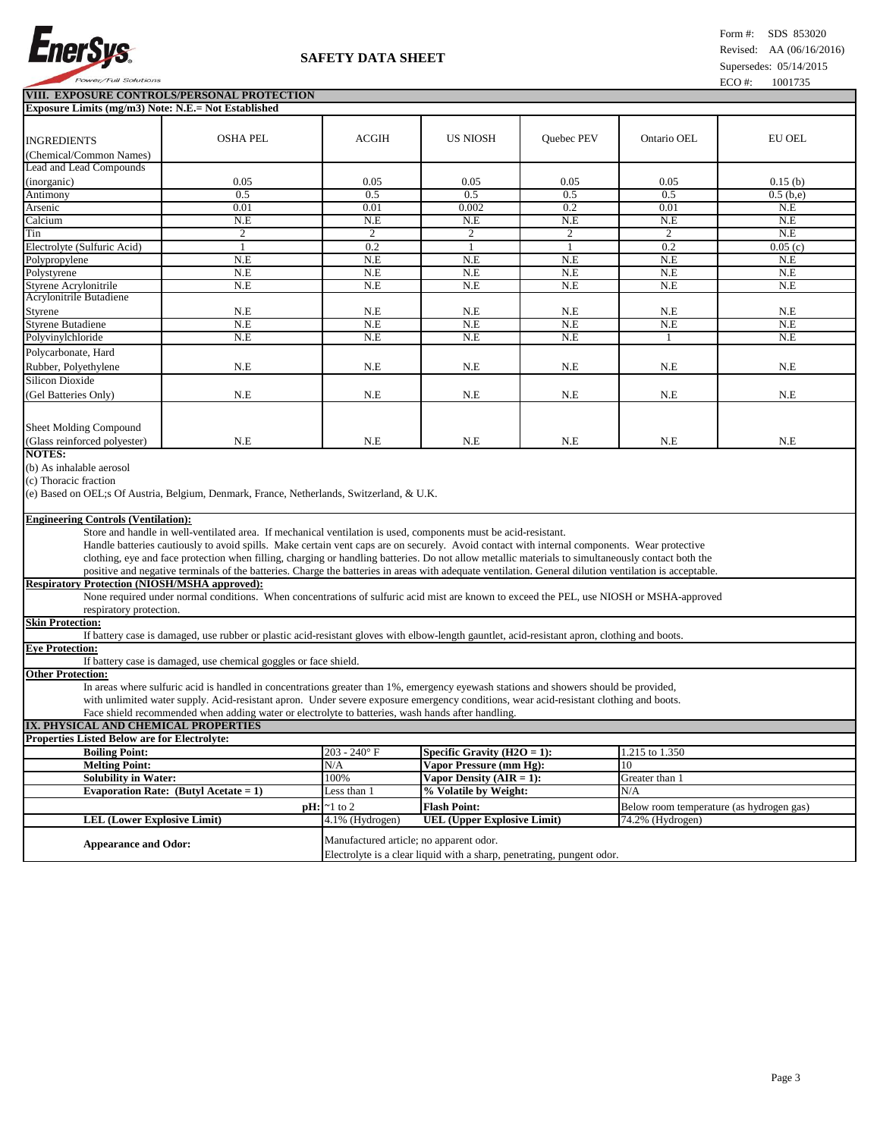

## Revised: AA (06/16/2016) **SAFETY DATA SHEET**

 **VIII. EXPOSURE CONTROLS/PERSONAL PROTECTION** 

| Exposure Limits (mg/m3) Note: N.E.= Not Established                                                                                                |                                                                                                                                                        |                                  |                                |            |                                          |               |
|----------------------------------------------------------------------------------------------------------------------------------------------------|--------------------------------------------------------------------------------------------------------------------------------------------------------|----------------------------------|--------------------------------|------------|------------------------------------------|---------------|
|                                                                                                                                                    |                                                                                                                                                        |                                  |                                |            |                                          |               |
| <b>INGREDIENTS</b>                                                                                                                                 | <b>OSHA PEL</b>                                                                                                                                        | <b>ACGIH</b>                     | <b>US NIOSH</b>                | Quebec PEV | Ontario OEL                              | <b>EU OEL</b> |
| (Chemical/Common Names)                                                                                                                            |                                                                                                                                                        |                                  |                                |            |                                          |               |
| <b>Lead and Lead Compounds</b>                                                                                                                     |                                                                                                                                                        |                                  |                                |            |                                          |               |
| (inorganic)                                                                                                                                        | 0.05                                                                                                                                                   | 0.05                             | 0.05                           | 0.05       | 0.05                                     | 0.15(b)       |
| Antimony                                                                                                                                           | 0.5                                                                                                                                                    | 0.5                              | 0.5                            | 0.5        | 0.5                                      | 0.5(b,e)      |
| Arsenic                                                                                                                                            | 0.01                                                                                                                                                   | 0.01                             | 0.002                          | 0.2        | 0.01                                     | N.E           |
| Calcium                                                                                                                                            | N.E                                                                                                                                                    | N.E                              | N.E                            | N.E        | N.E                                      | N.E           |
| Tin                                                                                                                                                | 2                                                                                                                                                      | 2                                | $\boldsymbol{2}$               | 2          | $\mathfrak{2}$                           | N.E           |
| Electrolyte (Sulfuric Acid)                                                                                                                        | $\mathbf{1}$                                                                                                                                           | 0.2                              | $\mathbf{1}$                   | 1          | 0.2                                      | 0.05(c)       |
| Polypropylene                                                                                                                                      | N.E                                                                                                                                                    | N.E                              | N.E                            | N.E        | N.E                                      | N.E           |
| Polystyrene                                                                                                                                        | N.E                                                                                                                                                    | N.E                              | N.E                            | N.E        | N.E                                      | N.E           |
| Styrene Acrylonitrile                                                                                                                              | N.E                                                                                                                                                    | N.E                              | N.E                            | N.E        | N.E                                      | N.E           |
| Acrylonitrile Butadiene                                                                                                                            |                                                                                                                                                        |                                  |                                |            |                                          |               |
| Styrene                                                                                                                                            | N.E                                                                                                                                                    | N.E                              | N.E                            | N.E        | N.E                                      | N.E           |
| <b>Styrene Butadiene</b>                                                                                                                           | N.E                                                                                                                                                    | N.E                              | N.E                            | N.E        | N.E                                      | N.E           |
| Polyvinylchloride                                                                                                                                  | N.E                                                                                                                                                    | N.E                              | N.E                            | N.E        | 1                                        | N.E           |
| Polycarbonate, Hard                                                                                                                                |                                                                                                                                                        |                                  |                                |            |                                          |               |
| Rubber, Polyethylene                                                                                                                               | N.E                                                                                                                                                    | N.E                              | N.E                            | N.E        | N.E                                      | N.E           |
| <b>Silicon Dioxide</b>                                                                                                                             |                                                                                                                                                        |                                  |                                |            |                                          |               |
| (Gel Batteries Only)                                                                                                                               | N.E                                                                                                                                                    | N.E                              | N.E                            | N.E        | N.E                                      | N.E           |
|                                                                                                                                                    |                                                                                                                                                        |                                  |                                |            |                                          |               |
|                                                                                                                                                    |                                                                                                                                                        |                                  |                                |            |                                          |               |
| Sheet Molding Compound                                                                                                                             |                                                                                                                                                        |                                  |                                |            |                                          |               |
| (Glass reinforced polyester)                                                                                                                       | N.E                                                                                                                                                    | N.E                              | N.E                            | N.E        | N.E                                      | N.E           |
| <b>NOTES:</b>                                                                                                                                      |                                                                                                                                                        |                                  |                                |            |                                          |               |
| (b) As inhalable aerosol                                                                                                                           |                                                                                                                                                        |                                  |                                |            |                                          |               |
| (c) Thoracic fraction                                                                                                                              |                                                                                                                                                        |                                  |                                |            |                                          |               |
|                                                                                                                                                    | (e) Based on OEL;s Of Austria, Belgium, Denmark, France, Netherlands, Switzerland, & U.K.                                                              |                                  |                                |            |                                          |               |
|                                                                                                                                                    |                                                                                                                                                        |                                  |                                |            |                                          |               |
| <b>Engineering Controls (Ventilation):</b>                                                                                                         |                                                                                                                                                        |                                  |                                |            |                                          |               |
|                                                                                                                                                    | Store and handle in well-ventilated area. If mechanical ventilation is used, components must be acid-resistant.                                        |                                  |                                |            |                                          |               |
|                                                                                                                                                    | Handle batteries cautiously to avoid spills. Make certain vent caps are on securely. Avoid contact with internal components. Wear protective           |                                  |                                |            |                                          |               |
| clothing, eye and face protection when filling, charging or handling batteries. Do not allow metallic materials to simultaneously contact both the |                                                                                                                                                        |                                  |                                |            |                                          |               |
|                                                                                                                                                    | positive and negative terminals of the batteries. Charge the batteries in areas with adequate ventilation. General dilution ventilation is acceptable. |                                  |                                |            |                                          |               |
| <b>Respiratory Protection (NIOSH/MSHA approved):</b>                                                                                               |                                                                                                                                                        |                                  |                                |            |                                          |               |
|                                                                                                                                                    | None required under normal conditions. When concentrations of sulfuric acid mist are known to exceed the PEL, use NIOSH or MSHA-approved               |                                  |                                |            |                                          |               |
| respiratory protection.<br><b>Skin Protection:</b>                                                                                                 |                                                                                                                                                        |                                  |                                |            |                                          |               |
|                                                                                                                                                    | If battery case is damaged, use rubber or plastic acid-resistant gloves with elbow-length gauntlet, acid-resistant apron, clothing and boots.          |                                  |                                |            |                                          |               |
| <b>Eve Protection:</b>                                                                                                                             |                                                                                                                                                        |                                  |                                |            |                                          |               |
|                                                                                                                                                    | If battery case is damaged, use chemical goggles or face shield.                                                                                       |                                  |                                |            |                                          |               |
| <b>Other Protection:</b>                                                                                                                           |                                                                                                                                                        |                                  |                                |            |                                          |               |
|                                                                                                                                                    | In areas where sulfuric acid is handled in concentrations greater than 1%, emergency eyewash stations and showers should be provided,                  |                                  |                                |            |                                          |               |
|                                                                                                                                                    | with unlimited water supply. Acid-resistant apron. Under severe exposure emergency conditions, wear acid-resistant clothing and boots.                 |                                  |                                |            |                                          |               |
|                                                                                                                                                    | Face shield recommended when adding water or electrolyte to batteries, wash hands after handling.                                                      |                                  |                                |            |                                          |               |
| IX. PHYSICAL AND CHEMICAL PROPERTIES                                                                                                               |                                                                                                                                                        |                                  |                                |            |                                          |               |
| <b>Properties Listed Below are for Electrolyte:</b>                                                                                                |                                                                                                                                                        |                                  |                                |            |                                          |               |
| <b>Boiling Point:</b>                                                                                                                              |                                                                                                                                                        | $203 - 240^{\circ}$ F            | Specific Gravity $(H2O = 1)$ : |            | 1.215 to 1.350                           |               |
| <b>Melting Point:</b>                                                                                                                              |                                                                                                                                                        | N/A                              | Vapor Pressure (mm Hg):        |            | 10                                       |               |
| <b>Solubility in Water:</b>                                                                                                                        |                                                                                                                                                        | 100%                             | Vapor Density $(AIR = 1)$ :    |            | Greater than 1                           |               |
|                                                                                                                                                    | Evaporation Rate: (Butyl Acetate = $1$ )                                                                                                               | Less than 1                      | % Volatile by Weight:          |            | N/A                                      |               |
|                                                                                                                                                    |                                                                                                                                                        | $\mathbf{p}$ H: $\approx$ 1 to 2 | <b>Flash Point:</b>            |            |                                          |               |
|                                                                                                                                                    |                                                                                                                                                        |                                  |                                |            | Below room temperature (as hydrogen gas) |               |

Electrolyte is a clear liquid with a sharp, penetrating, pungent odor.

**LEL (Lower Explosive Limit)** 4.1% (Hydrogen) **UEL (Upper Explosive Limit)** 74.2% (Hydrogen)

Appearance and Odor: **Manufactured article**; no apparent odor.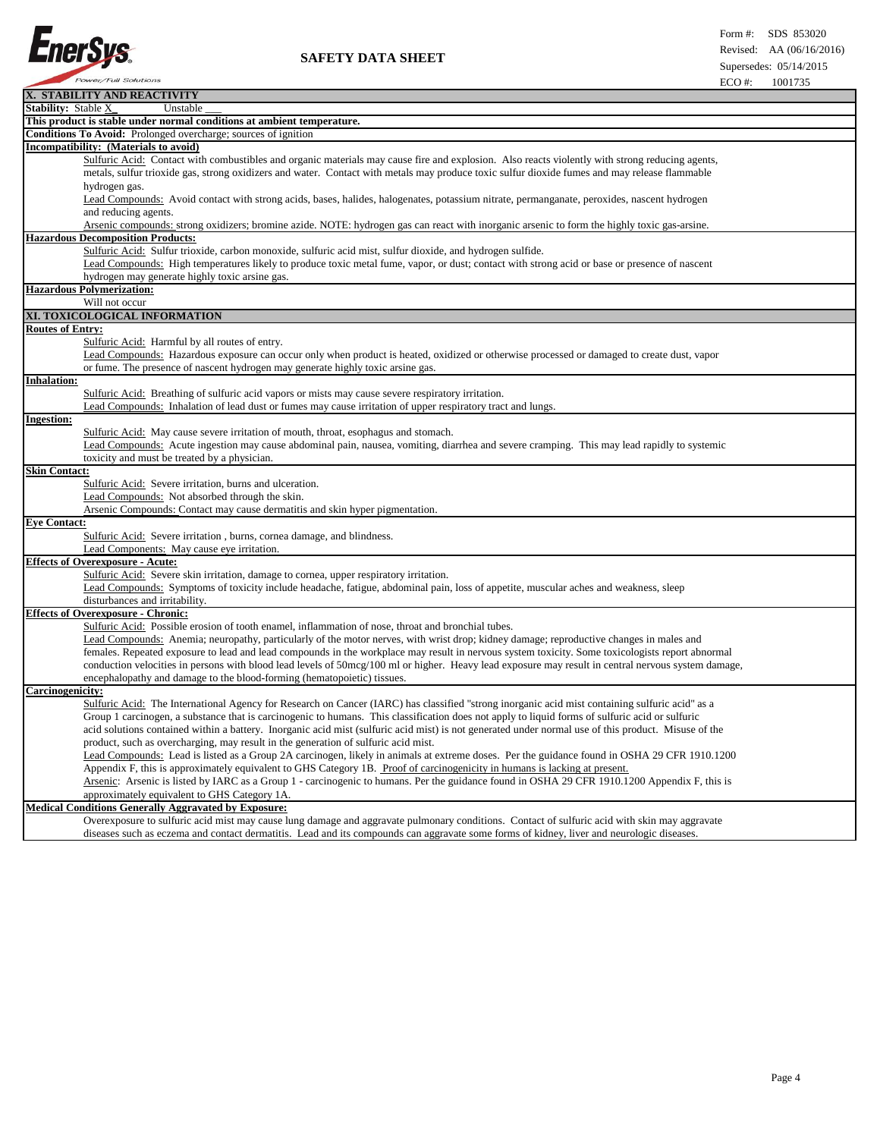

| X. STABILITY AND REACTIVITY                                                                                                                          |
|------------------------------------------------------------------------------------------------------------------------------------------------------|
| <b>Stability: Stable X_</b><br>Unstable                                                                                                              |
| This product is stable under normal conditions at ambient temperature.                                                                               |
| <b>Conditions To Avoid:</b> Prolonged overcharge; sources of ignition                                                                                |
| Incompatibility: (Materials to avoid)                                                                                                                |
| Sulfuric Acid: Contact with combustibles and organic materials may cause fire and explosion. Also reacts violently with strong reducing agents,      |
| metals, sulfur trioxide gas, strong oxidizers and water. Contact with metals may produce toxic sulfur dioxide fumes and may release flammable        |
| hydrogen gas.                                                                                                                                        |
| Lead Compounds: Avoid contact with strong acids, bases, halides, halogenates, potassium nitrate, permanganate, peroxides, nascent hydrogen           |
| and reducing agents.                                                                                                                                 |
| Arsenic compounds: strong oxidizers; bromine azide. NOTE: hydrogen gas can react with inorganic arsenic to form the highly toxic gas-arsine.         |
| <b>Hazardous Decomposition Products:</b>                                                                                                             |
| Sulfuric Acid: Sulfur trioxide, carbon monoxide, sulfuric acid mist, sulfur dioxide, and hydrogen sulfide.                                           |
| Lead Compounds: High temperatures likely to produce toxic metal fume, vapor, or dust; contact with strong acid or base or presence of nascent        |
| hydrogen may generate highly toxic arsine gas.                                                                                                       |
| <b>Hazardous Polymerization:</b>                                                                                                                     |
| Will not occur                                                                                                                                       |
| XI. TOXICOLOGICAL INFORMATION                                                                                                                        |
| <b>Routes of Entry:</b>                                                                                                                              |
| Sulfuric Acid: Harmful by all routes of entry.                                                                                                       |
| Lead Compounds: Hazardous exposure can occur only when product is heated, oxidized or otherwise processed or damaged to create dust, vapor           |
| or fume. The presence of nascent hydrogen may generate highly toxic arsine gas.                                                                      |
| <b>Inhalation:</b>                                                                                                                                   |
| Sulfuric Acid: Breathing of sulfuric acid vapors or mists may cause severe respiratory irritation.                                                   |
| Lead Compounds: Inhalation of lead dust or fumes may cause irritation of upper respiratory tract and lungs.                                          |
| <b>Ingestion:</b>                                                                                                                                    |
| Sulfuric Acid: May cause severe irritation of mouth, throat, esophagus and stomach.                                                                  |
| Lead Compounds: Acute ingestion may cause abdominal pain, nausea, vomiting, diarrhea and severe cramping. This may lead rapidly to systemic          |
| toxicity and must be treated by a physician.                                                                                                         |
| <b>Skin Contact:</b>                                                                                                                                 |
|                                                                                                                                                      |
| Sulfuric Acid: Severe irritation, burns and ulceration.                                                                                              |
| Lead Compounds: Not absorbed through the skin.                                                                                                       |
| Arsenic Compounds: Contact may cause dermatitis and skin hyper pigmentation.                                                                         |
| <b>Eye Contact:</b>                                                                                                                                  |
| Sulfuric Acid: Severe irritation, burns, cornea damage, and blindness.                                                                               |
| Lead Components: May cause eye irritation.                                                                                                           |
| <b>Effects of Overexposure - Acute:</b>                                                                                                              |
| Sulfuric Acid: Severe skin irritation, damage to cornea, upper respiratory irritation.                                                               |
| Lead Compounds: Symptoms of toxicity include headache, fatigue, abdominal pain, loss of appetite, muscular aches and weakness, sleep                 |
| disturbances and irritability.                                                                                                                       |
| <b>Effects of Overexposure - Chronic:</b>                                                                                                            |
| Sulfuric Acid: Possible erosion of tooth enamel, inflammation of nose, throat and bronchial tubes.                                                   |
| Lead Compounds: Anemia; neuropathy, particularly of the motor nerves, with wrist drop; kidney damage; reproductive changes in males and              |
| females. Repeated exposure to lead and lead compounds in the workplace may result in nervous system toxicity. Some toxicologists report abnormal     |
| conduction velocities in persons with blood lead levels of 50mcg/100 ml or higher. Heavy lead exposure may result in central nervous system damage,  |
| encephalopathy and damage to the blood-forming (hematopoietic) tissues.                                                                              |
| Carcinogenicity:                                                                                                                                     |
| Sulfuric Acid: The International Agency for Research on Cancer (IARC) has classified "strong inorganic acid mist containing sulfuric acid" as a      |
| Group 1 carcinogen, a substance that is carcinogenic to humans. This classification does not apply to liquid forms of sulfuric acid or sulfuric      |
| acid solutions contained within a battery. Inorganic acid mist (sulfuric acid mist) is not generated under normal use of this product. Misuse of the |
| product, such as overcharging, may result in the generation of sulfuric acid mist.                                                                   |
| Lead Compounds: Lead is listed as a Group 2A carcinogen, likely in animals at extreme doses. Per the guidance found in OSHA 29 CFR 1910.1200         |
| Appendix F, this is approximately equivalent to GHS Category 1B. Proof of carcinogenicity in humans is lacking at present.                           |
| Arsenic: Arsenic is listed by IARC as a Group 1 - carcinogenic to humans. Per the guidance found in OSHA 29 CFR 1910.1200 Appendix F, this is        |
| approximately equivalent to GHS Category 1A.                                                                                                         |
| <b>Medical Conditions Generally Aggravated by Exposure:</b>                                                                                          |
| Overexposure to sulfuric acid mist may cause lung damage and aggravate pulmonary conditions. Contact of sulfuric acid with skin may aggravate        |
| diseases such as eczema and contact dermatitis. Lead and its compounds can aggravate some forms of kidney, liver and neurologic diseases.            |
|                                                                                                                                                      |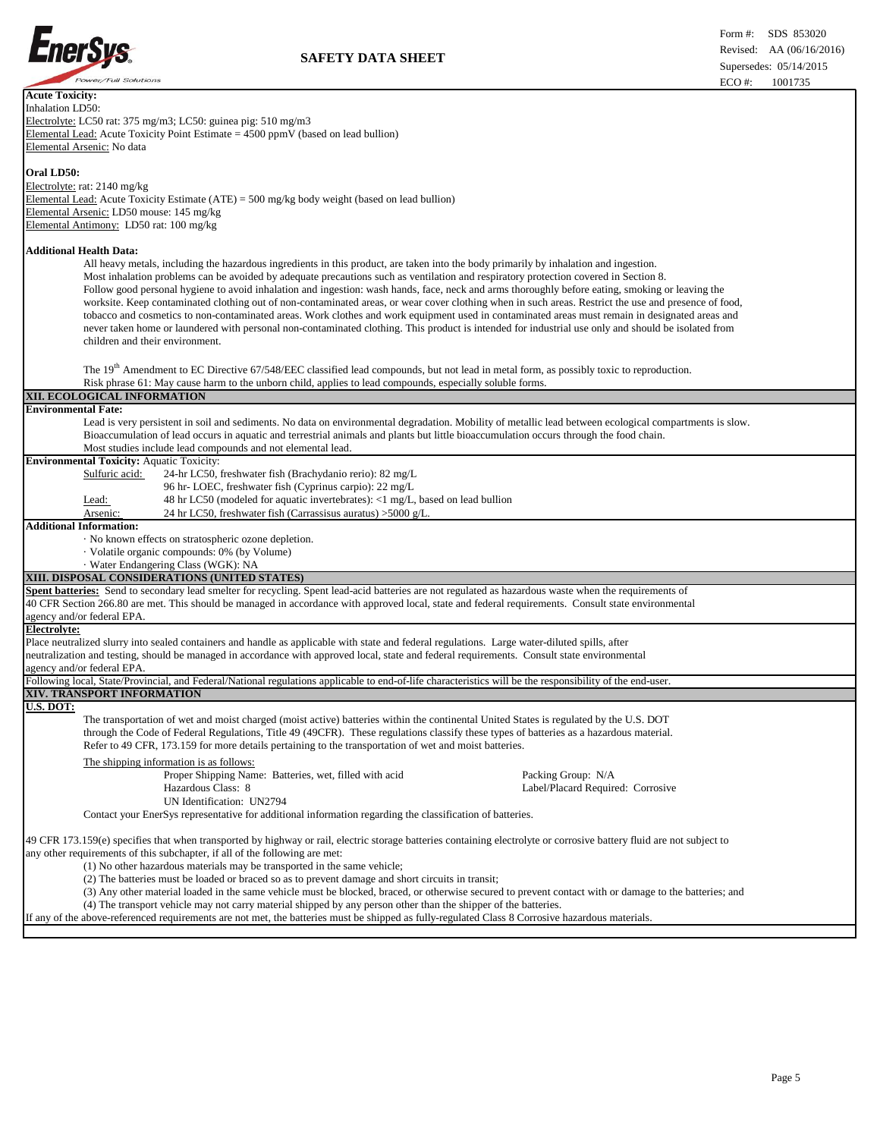

Ì.

| <b>Acute Toxicity:</b>                                                                                                                                                  |  |  |  |
|-------------------------------------------------------------------------------------------------------------------------------------------------------------------------|--|--|--|
| Inhalation LD50:                                                                                                                                                        |  |  |  |
| Electrolyte: LC50 rat: 375 mg/m3; LC50: guinea pig: 510 mg/m3                                                                                                           |  |  |  |
| Elemental Lead: Acute Toxicity Point Estimate $= 4500$ ppmV (based on lead bullion)                                                                                     |  |  |  |
| Elemental Arsenic: No data                                                                                                                                              |  |  |  |
|                                                                                                                                                                         |  |  |  |
| Oral LD50:                                                                                                                                                              |  |  |  |
| Electrolyte: rat: 2140 mg/kg                                                                                                                                            |  |  |  |
| Elemental Lead: Acute Toxicity Estimate $(ATE) = 500$ mg/kg body weight (based on lead bullion)                                                                         |  |  |  |
| Elemental Arsenic: LD50 mouse: 145 mg/kg                                                                                                                                |  |  |  |
|                                                                                                                                                                         |  |  |  |
| Elemental Antimony: LD50 rat: 100 mg/kg                                                                                                                                 |  |  |  |
| <b>Additional Health Data:</b><br>All heavy metals, including the hazardous ingredients in this product, are taken into the body primarily by inhalation and ingestion. |  |  |  |
| Most inhalation problems can be avoided by adequate precautions such as ventilation and respiratory protection covered in Section 8.                                    |  |  |  |
| Follow good personal hygiene to avoid inhalation and ingestion: wash hands, face, neck and arms thoroughly before eating, smoking or leaving the                        |  |  |  |
| worksite. Keep contaminated clothing out of non-contaminated areas, or wear cover clothing when in such areas. Restrict the use and presence of food,                   |  |  |  |
|                                                                                                                                                                         |  |  |  |
| tobacco and cosmetics to non-contaminated areas. Work clothes and work equipment used in contaminated areas must remain in designated areas and                         |  |  |  |
| never taken home or laundered with personal non-contaminated clothing. This product is intended for industrial use only and should be isolated from                     |  |  |  |
| children and their environment.                                                                                                                                         |  |  |  |
|                                                                                                                                                                         |  |  |  |
| The 19 <sup>th</sup> Amendment to EC Directive 67/548/EEC classified lead compounds, but not lead in metal form, as possibly toxic to reproduction.                     |  |  |  |
| Risk phrase 61: May cause harm to the unborn child, applies to lead compounds, especially soluble forms.                                                                |  |  |  |
| XII. ECOLOGICAL INFORMATION                                                                                                                                             |  |  |  |
| <b>Environmental Fate:</b>                                                                                                                                              |  |  |  |
|                                                                                                                                                                         |  |  |  |
| Lead is very persistent in soil and sediments. No data on environmental degradation. Mobility of metallic lead between ecological compartments is slow.                 |  |  |  |
| Bioaccumulation of lead occurs in aquatic and terrestrial animals and plants but little bioaccumulation occurs through the food chain.                                  |  |  |  |
| Most studies include lead compounds and not elemental lead.                                                                                                             |  |  |  |
| <b>Environmental Toxicity: Aquatic Toxicity:</b>                                                                                                                        |  |  |  |
| Sulfuric acid:<br>24-hr LC50, freshwater fish (Brachydanio rerio): 82 mg/L                                                                                              |  |  |  |
| 96 hr-LOEC, freshwater fish (Cyprinus carpio): 22 mg/L                                                                                                                  |  |  |  |
| 48 hr LC50 (modeled for aquatic invertebrates): <1 mg/L, based on lead bullion<br>Lead:                                                                                 |  |  |  |
| 24 hr LC50, freshwater fish (Carrassisus auratus) >5000 g/L.<br>Arsenic:                                                                                                |  |  |  |
| <b>Additional Information:</b>                                                                                                                                          |  |  |  |
|                                                                                                                                                                         |  |  |  |
| No known effects on stratospheric ozone depletion.                                                                                                                      |  |  |  |
| · Volatile organic compounds: 0% (by Volume)                                                                                                                            |  |  |  |
| · Water Endangering Class (WGK): NA                                                                                                                                     |  |  |  |
| XIII. DISPOSAL CONSIDERATIONS (UNITED STATES)                                                                                                                           |  |  |  |
| Spent batteries: Send to secondary lead smelter for recycling. Spent lead-acid batteries are not regulated as hazardous waste when the requirements of                  |  |  |  |
| 40 CFR Section 266.80 are met. This should be managed in accordance with approved local, state and federal requirements. Consult state environmental                    |  |  |  |
| agency and/or federal EPA.                                                                                                                                              |  |  |  |
| <b>Electrolyte:</b>                                                                                                                                                     |  |  |  |
| Place neutralized slurry into sealed containers and handle as applicable with state and federal regulations. Large water-diluted spills, after                          |  |  |  |
| neutralization and testing, should be managed in accordance with approved local, state and federal requirements. Consult state environmental                            |  |  |  |
|                                                                                                                                                                         |  |  |  |
| agency and/or federal EPA.                                                                                                                                              |  |  |  |
| Following local, State/Provincial, and Federal/National regulations applicable to end-of-life characteristics will be the responsibility of the end-user.               |  |  |  |
| XIV. TRANSPORT INFORMATION                                                                                                                                              |  |  |  |
| <b>U.S. DOT:</b>                                                                                                                                                        |  |  |  |
| The transportation of wet and moist charged (moist active) batteries within the continental United States is regulated by the U.S. DOT                                  |  |  |  |
| through the Code of Federal Regulations, Title 49 (49CFR). These regulations classify these types of batteries as a hazardous material.                                 |  |  |  |
| Refer to 49 CFR, 173.159 for more details pertaining to the transportation of wet and moist batteries.                                                                  |  |  |  |
|                                                                                                                                                                         |  |  |  |
| The shipping information is as follows:                                                                                                                                 |  |  |  |
| Proper Shipping Name: Batteries, wet, filled with acid<br>Packing Group: N/A                                                                                            |  |  |  |
| Hazardous Class: 8<br>Label/Placard Required: Corrosive                                                                                                                 |  |  |  |
| UN Identification: UN2794                                                                                                                                               |  |  |  |
| Contact your EnerSys representative for additional information regarding the classification of batteries.                                                               |  |  |  |
|                                                                                                                                                                         |  |  |  |
| 49 CFR 173.159(e) specifies that when transported by highway or rail, electric storage batteries containing electrolyte or corrosive battery fluid are not subject to   |  |  |  |
| any other requirements of this subchapter, if all of the following are met:                                                                                             |  |  |  |
|                                                                                                                                                                         |  |  |  |
| (1) No other hazardous materials may be transported in the same vehicle;                                                                                                |  |  |  |
| (2) The batteries must be loaded or braced so as to prevent damage and short circuits in transit;                                                                       |  |  |  |
| (3) Any other material loaded in the same vehicle must be blocked, braced, or otherwise secured to prevent contact with or damage to the batteries; and                 |  |  |  |
| (4) The transport vehicle may not carry material shipped by any person other than the shipper of the batteries.                                                         |  |  |  |

If any of the above-referenced requirements are not met, the batteries must be shipped as fully-regulated Class 8 Corrosive hazardous materials.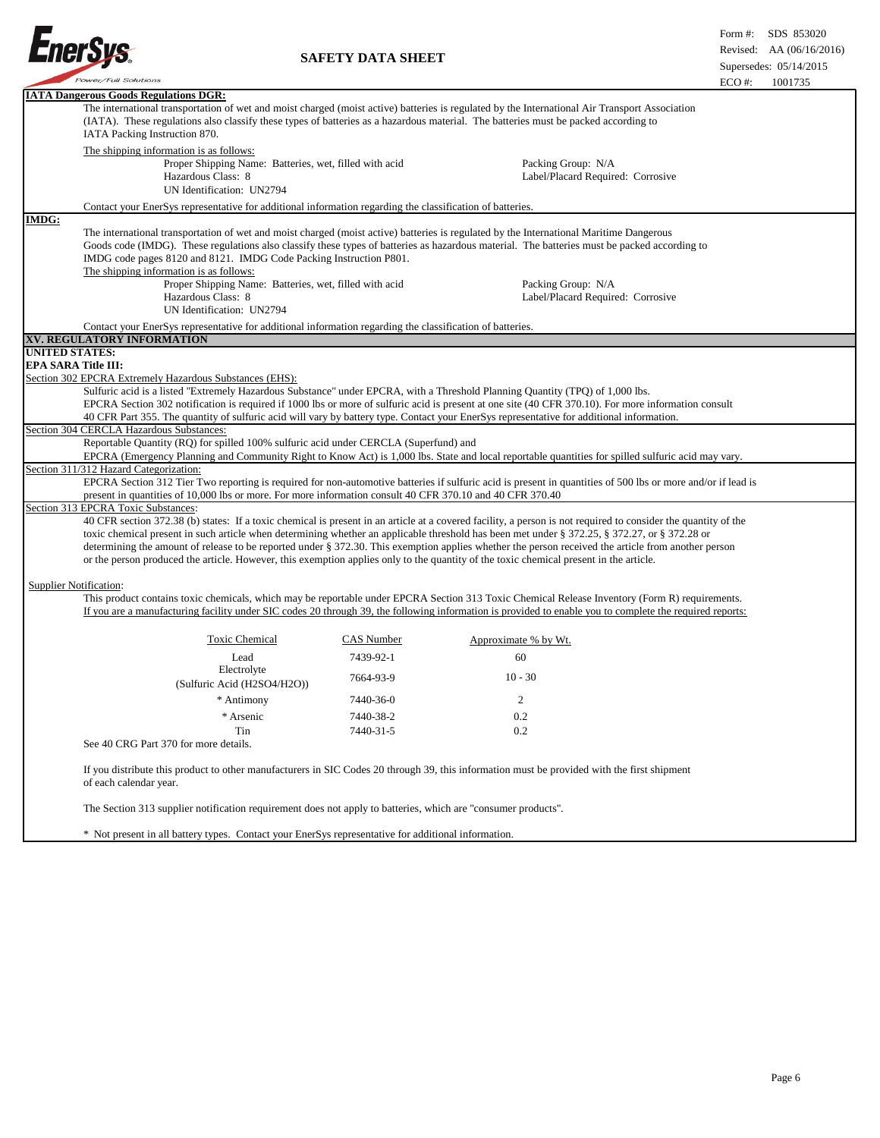

|                                                                                                                                                                                                                                                                                                                                                                                                                                                                                                                                                     |                                                                                                                                                                |                                                                                                                                                          | LUU 11.<br>19917 <i>33</i> |  |  |
|-----------------------------------------------------------------------------------------------------------------------------------------------------------------------------------------------------------------------------------------------------------------------------------------------------------------------------------------------------------------------------------------------------------------------------------------------------------------------------------------------------------------------------------------------------|----------------------------------------------------------------------------------------------------------------------------------------------------------------|----------------------------------------------------------------------------------------------------------------------------------------------------------|----------------------------|--|--|
| <b>IATA Dangerous Goods Regulations DGR:</b><br>The international transportation of wet and moist charged (moist active) batteries is regulated by the International Air Transport Association<br>(IATA). These regulations also classify these types of batteries as a hazardous material. The batteries must be packed according to<br>IATA Packing Instruction 870.                                                                                                                                                                              |                                                                                                                                                                |                                                                                                                                                          |                            |  |  |
| The shipping information is as follows:<br>Proper Shipping Name: Batteries, wet, filled with acid<br>Hazardous Class: 8<br>UN Identification: UN2794                                                                                                                                                                                                                                                                                                                                                                                                |                                                                                                                                                                | Packing Group: N/A<br>Label/Placard Required: Corrosive                                                                                                  |                            |  |  |
| Contact your EnerSys representative for additional information regarding the classification of batteries.                                                                                                                                                                                                                                                                                                                                                                                                                                           |                                                                                                                                                                |                                                                                                                                                          |                            |  |  |
| <b>IMDG:</b>                                                                                                                                                                                                                                                                                                                                                                                                                                                                                                                                        |                                                                                                                                                                |                                                                                                                                                          |                            |  |  |
| The international transportation of wet and moist charged (moist active) batteries is regulated by the International Maritime Dangerous<br>Goods code (IMDG). These regulations also classify these types of batteries as hazardous material. The batteries must be packed according to<br>IMDG code pages 8120 and 8121. IMDG Code Packing Instruction P801.<br>The shipping information is as follows:<br>Proper Shipping Name: Batteries, wet, filled with acid<br>Packing Group: N/A<br>Hazardous Class: 8<br>Label/Placard Required: Corrosive |                                                                                                                                                                |                                                                                                                                                          |                            |  |  |
| UN Identification: UN2794                                                                                                                                                                                                                                                                                                                                                                                                                                                                                                                           |                                                                                                                                                                |                                                                                                                                                          |                            |  |  |
|                                                                                                                                                                                                                                                                                                                                                                                                                                                                                                                                                     |                                                                                                                                                                |                                                                                                                                                          |                            |  |  |
| Contact your EnerSys representative for additional information regarding the classification of batteries.                                                                                                                                                                                                                                                                                                                                                                                                                                           |                                                                                                                                                                |                                                                                                                                                          |                            |  |  |
| XV. REGULATORY INFORMATION<br><b>UNITED STATES:</b>                                                                                                                                                                                                                                                                                                                                                                                                                                                                                                 |                                                                                                                                                                |                                                                                                                                                          |                            |  |  |
| <b>EPA SARA Title III:</b>                                                                                                                                                                                                                                                                                                                                                                                                                                                                                                                          |                                                                                                                                                                |                                                                                                                                                          |                            |  |  |
|                                                                                                                                                                                                                                                                                                                                                                                                                                                                                                                                                     |                                                                                                                                                                |                                                                                                                                                          |                            |  |  |
| Section 302 EPCRA Extremely Hazardous Substances (EHS):<br>Sulfuric acid is a listed "Extremely Hazardous Substance" under EPCRA, with a Threshold Planning Quantity (TPQ) of 1,000 lbs.<br>EPCRA Section 302 notification is required if 1000 lbs or more of sulfuric acid is present at one site (40 CFR 370.10). For more information consult<br>40 CFR Part 355. The quantity of sulfuric acid will vary by battery type. Contact your EnerSys representative for additional information.                                                       |                                                                                                                                                                |                                                                                                                                                          |                            |  |  |
| Section 304 CERCLA Hazardous Substances:                                                                                                                                                                                                                                                                                                                                                                                                                                                                                                            |                                                                                                                                                                |                                                                                                                                                          |                            |  |  |
| Reportable Quantity (RQ) for spilled 100% sulfuric acid under CERCLA (Superfund) and                                                                                                                                                                                                                                                                                                                                                                                                                                                                |                                                                                                                                                                |                                                                                                                                                          |                            |  |  |
| EPCRA (Emergency Planning and Community Right to Know Act) is 1,000 lbs. State and local reportable quantities for spilled sulfuric acid may vary.                                                                                                                                                                                                                                                                                                                                                                                                  |                                                                                                                                                                |                                                                                                                                                          |                            |  |  |
| Section 311/312 Hazard Categorization:                                                                                                                                                                                                                                                                                                                                                                                                                                                                                                              |                                                                                                                                                                |                                                                                                                                                          |                            |  |  |
| EPCRA Section 312 Tier Two reporting is required for non-automotive batteries if sulfuric acid is present in quantities of 500 lbs or more and/or if lead is<br>present in quantities of 10,000 lbs or more. For more information consult 40 CFR 370.10 and 40 CFR 370.40                                                                                                                                                                                                                                                                           |                                                                                                                                                                |                                                                                                                                                          |                            |  |  |
| Section 313 EPCRA Toxic Substances:                                                                                                                                                                                                                                                                                                                                                                                                                                                                                                                 |                                                                                                                                                                |                                                                                                                                                          |                            |  |  |
|                                                                                                                                                                                                                                                                                                                                                                                                                                                                                                                                                     | 40 CFR section 372.38 (b) states: If a toxic chemical is present in an article at a covered facility, a person is not required to consider the quantity of the |                                                                                                                                                          |                            |  |  |
| toxic chemical present in such article when determining whether an applicable threshold has been met under § 372.25, § 372.27, or § 372.28 or                                                                                                                                                                                                                                                                                                                                                                                                       |                                                                                                                                                                |                                                                                                                                                          |                            |  |  |
|                                                                                                                                                                                                                                                                                                                                                                                                                                                                                                                                                     | determining the amount of release to be reported under § 372.30. This exemption applies whether the person received the article from another person            |                                                                                                                                                          |                            |  |  |
| or the person produced the article. However, this exemption applies only to the quantity of the toxic chemical present in the article.                                                                                                                                                                                                                                                                                                                                                                                                              |                                                                                                                                                                |                                                                                                                                                          |                            |  |  |
|                                                                                                                                                                                                                                                                                                                                                                                                                                                                                                                                                     |                                                                                                                                                                |                                                                                                                                                          |                            |  |  |
| <b>Supplier Notification:</b><br>This product contains toxic chemicals, which may be reportable under EPCRA Section 313 Toxic Chemical Release Inventory (Form R) requirements.                                                                                                                                                                                                                                                                                                                                                                     |                                                                                                                                                                | If you are a manufacturing facility under SIC codes 20 through 39, the following information is provided to enable you to complete the required reports: |                            |  |  |
| <b>Toxic Chemical</b>                                                                                                                                                                                                                                                                                                                                                                                                                                                                                                                               | CAS Number                                                                                                                                                     | Approximate % by Wt.                                                                                                                                     |                            |  |  |
| Lead                                                                                                                                                                                                                                                                                                                                                                                                                                                                                                                                                | 7439-92-1                                                                                                                                                      | 60                                                                                                                                                       |                            |  |  |
| Electrolyte<br>(Sulfuric Acid (H2SO4/H2O))                                                                                                                                                                                                                                                                                                                                                                                                                                                                                                          | 7664-93-9                                                                                                                                                      | $10 - 30$                                                                                                                                                |                            |  |  |
| * Antimony                                                                                                                                                                                                                                                                                                                                                                                                                                                                                                                                          | 7440-36-0                                                                                                                                                      | 2                                                                                                                                                        |                            |  |  |
| * Arsenic                                                                                                                                                                                                                                                                                                                                                                                                                                                                                                                                           | 7440-38-2                                                                                                                                                      | 0.2                                                                                                                                                      |                            |  |  |
|                                                                                                                                                                                                                                                                                                                                                                                                                                                                                                                                                     | 7440-31-5                                                                                                                                                      |                                                                                                                                                          |                            |  |  |
| Tin<br>See 40 CRG Part 370 for more details.                                                                                                                                                                                                                                                                                                                                                                                                                                                                                                        |                                                                                                                                                                | 0.2                                                                                                                                                      |                            |  |  |
| of each calendar year.                                                                                                                                                                                                                                                                                                                                                                                                                                                                                                                              |                                                                                                                                                                | If you distribute this product to other manufacturers in SIC Codes 20 through 39, this information must be provided with the first shipment              |                            |  |  |
| The Section 313 supplier notification requirement does not apply to batteries, which are "consumer products".                                                                                                                                                                                                                                                                                                                                                                                                                                       |                                                                                                                                                                |                                                                                                                                                          |                            |  |  |
| * Not present in all battery types. Contact your EnerSys representative for additional information.                                                                                                                                                                                                                                                                                                                                                                                                                                                 |                                                                                                                                                                |                                                                                                                                                          |                            |  |  |

\* Not present in all battery types. Contact your EnerSys representative for additional information.